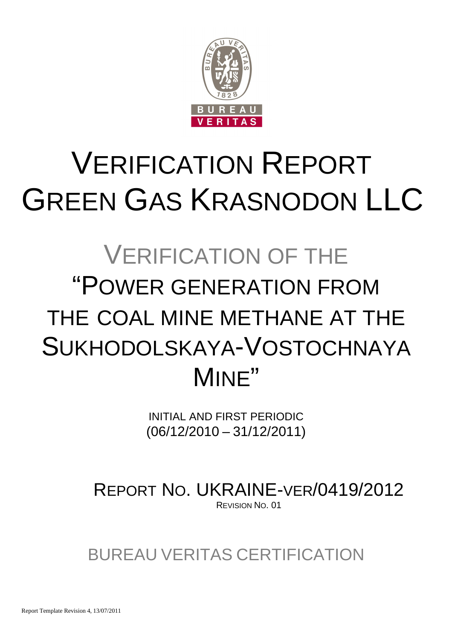

# VERIFICATION REPORT GREEN GAS KRASNODON LLC

## VERIFICATION OF THE "POWER GENERATION FROM THE COAL MINE METHANE AT THE SUKHODOLSKAYA-VOSTOCHNAYA MINE"

INITIAL AND FIRST PERIODIC (06/12/2010 – 31/12/2011)

REPORT NO. UKRAINE-VER/0419/2012 REVISION NO. 01

BUREAU VERITAS CERTIFICATION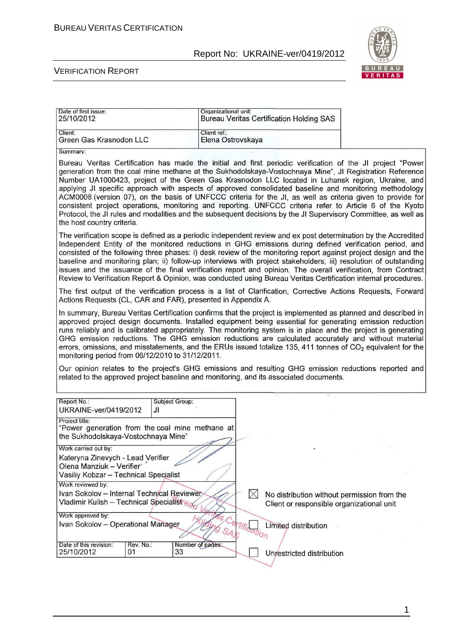<u> Maria Alemania de Arabel de la pro</u>



#### VERIFICATION REPORT

| Date of first issue:<br>25/10/2012                                                                                                                                                                                                                                                                                                                                                                                                                                                                                                                                                                                                                                                                                                                                                                             | Organizational unit:              | <b>Bureau Veritas Certification Holding SAS</b>                                                                                                                                                                             |  |
|----------------------------------------------------------------------------------------------------------------------------------------------------------------------------------------------------------------------------------------------------------------------------------------------------------------------------------------------------------------------------------------------------------------------------------------------------------------------------------------------------------------------------------------------------------------------------------------------------------------------------------------------------------------------------------------------------------------------------------------------------------------------------------------------------------------|-----------------------------------|-----------------------------------------------------------------------------------------------------------------------------------------------------------------------------------------------------------------------------|--|
| Client:<br>Green Gas Krasnodon LLC                                                                                                                                                                                                                                                                                                                                                                                                                                                                                                                                                                                                                                                                                                                                                                             | Client ref.:<br>Elena Ostrovskaya |                                                                                                                                                                                                                             |  |
| Summary:                                                                                                                                                                                                                                                                                                                                                                                                                                                                                                                                                                                                                                                                                                                                                                                                       |                                   |                                                                                                                                                                                                                             |  |
| Bureau Veritas Certification has made the initial and first periodic verification of the JI project "Power<br>generation from the coal mine methane at the Sukhodolskaya-Vostochnaya Mine", JI Registration Reference<br>Number UA1000423, project of the Green Gas Krasnodon LLC located in Luhansk region, Ukraine, and<br>applying JI specific approach with aspects of approved consolidated baseline and monitoring methodology<br>ACM0008 (version 07), on the basis of UNFCCC criteria for the JI, as well as criteria given to provide for<br>consistent project operations, monitoring and reporting. UNFCCC criteria refer to Article 6 of the Kyoto<br>Protocol, the JI rules and modalities and the subsequent decisions by the JI Supervisory Committee, as well as<br>the host country criteria. |                                   |                                                                                                                                                                                                                             |  |
| The verification scope is defined as a periodic independent review and ex post determination by the Accredited<br>consisted of the following three phases: i) desk review of the monitoring report against project design and the<br>issues and the issuance of the final verification report and opinion. The overall verification, from Contract<br>Review to Verification Report & Opinion, was conducted using Bureau Veritas Certification internal procedures.                                                                                                                                                                                                                                                                                                                                           |                                   | Independent Entity of the monitored reductions in GHG emissions during defined verification period, and<br>baseline and monitoring plan; ii) follow-up interviews with project stakeholders; iii) resolution of outstanding |  |
| The first output of the verification process is a list of Clarification, Corrective Actions Requests, Forward<br>Actions Requests (CL, CAR and FAR), presented in Appendix A.                                                                                                                                                                                                                                                                                                                                                                                                                                                                                                                                                                                                                                  |                                   |                                                                                                                                                                                                                             |  |
| In summary, Bureau Veritas Certification confirms that the project is implemented as planned and described in<br>approved project design documents. Installed equipment being essential for generating emission reduction<br>runs reliably and is calibrated appropriately. The monitoring system is in place and the project is generating<br>errors, omissions, and misstatements, and the ERUs issued totalize 135, 411 tonnes of $CO2$ equivalent for the<br>monitoring period from 06/12/2010 to 31/12/2011.                                                                                                                                                                                                                                                                                              |                                   | GHG emission reductions. The GHG emission reductions are calculated accurately and without material                                                                                                                         |  |
| Our opinion relates to the project's GHG emissions and resulting GHG emission reductions reported and<br>related to the approved project baseline and monitoring, and its associated documents.                                                                                                                                                                                                                                                                                                                                                                                                                                                                                                                                                                                                                |                                   |                                                                                                                                                                                                                             |  |
| Report No.:<br>UKRAINE-ver/0419/2012<br>JI.                                                                                                                                                                                                                                                                                                                                                                                                                                                                                                                                                                                                                                                                                                                                                                    | <b>Subject Group:</b>             |                                                                                                                                                                                                                             |  |
| Project title:<br>"Power generation from the coal mine methane at<br>the Sukhodolskaya-Vostochnaya Mine"                                                                                                                                                                                                                                                                                                                                                                                                                                                                                                                                                                                                                                                                                                       |                                   |                                                                                                                                                                                                                             |  |
| Work carried out by:                                                                                                                                                                                                                                                                                                                                                                                                                                                                                                                                                                                                                                                                                                                                                                                           |                                   |                                                                                                                                                                                                                             |  |
| Kateryna Zinevych - Lead Verifier<br>Olena Manziuk - Verifier<br>Vasiliy Kobzar - Technical Specialist                                                                                                                                                                                                                                                                                                                                                                                                                                                                                                                                                                                                                                                                                                         |                                   |                                                                                                                                                                                                                             |  |
| Work reviewed by:                                                                                                                                                                                                                                                                                                                                                                                                                                                                                                                                                                                                                                                                                                                                                                                              |                                   |                                                                                                                                                                                                                             |  |
| Ivan Sokolov - Internal Technical Reviewer<br>Vladimir Kulish -- Technical Specialist <sup>r</sup> e                                                                                                                                                                                                                                                                                                                                                                                                                                                                                                                                                                                                                                                                                                           |                                   | $\boxtimes$<br>No distribution without permission from the<br>Client or responsible organizational unit                                                                                                                     |  |
| Work approved by:<br>Ivan Sokolov - Operational Manager                                                                                                                                                                                                                                                                                                                                                                                                                                                                                                                                                                                                                                                                                                                                                        |                                   | Limited distribution<br>rtification                                                                                                                                                                                         |  |
| Date of this revision:<br>Rev. No.:<br>25/10/2012<br>01                                                                                                                                                                                                                                                                                                                                                                                                                                                                                                                                                                                                                                                                                                                                                        | Number of pages:<br>33            | Unrestricted distribution                                                                                                                                                                                                   |  |

1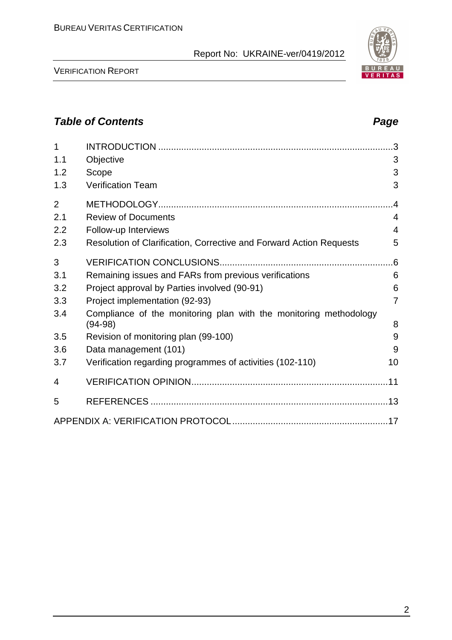

| 1              |                                                                                | 3               |
|----------------|--------------------------------------------------------------------------------|-----------------|
| 1.1            | Objective                                                                      | 3               |
| 1.2            | Scope                                                                          | 3               |
| 1.3            | <b>Verification Team</b>                                                       | 3               |
| $\overline{2}$ |                                                                                | $\overline{.4}$ |
| 2.1            | <b>Review of Documents</b>                                                     | 4               |
| 2.2            | Follow-up Interviews                                                           | $\overline{4}$  |
| 2.3            | Resolution of Clarification, Corrective and Forward Action Requests            | 5               |
| 3              |                                                                                | .6              |
| 3.1            | Remaining issues and FARs from previous verifications                          | 6               |
| 3.2            | Project approval by Parties involved (90-91)                                   | 6               |
| 3.3            | Project implementation (92-93)                                                 | $\overline{7}$  |
| 3.4            | Compliance of the monitoring plan with the monitoring methodology<br>$(94-98)$ | 8               |
| 3.5            | Revision of monitoring plan (99-100)                                           | 9               |
| 3.6            | Data management (101)                                                          | 9               |
| 3.7            | Verification regarding programmes of activities (102-110)                      | 10              |
| 4              |                                                                                |                 |
| 5              |                                                                                |                 |
|                |                                                                                |                 |

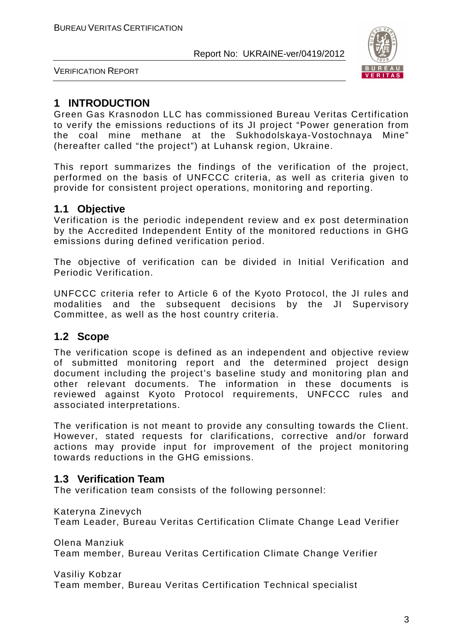

VERIFICATION REPORT

#### **1 INTRODUCTION**

Green Gas Krasnodon LLC has commissioned Bureau Veritas Certification to verify the emissions reductions of its JI project "Power generation from the coal mine methane at the Sukhodolskaya-Vostochnaya Mine" (hereafter called "the project") at Luhansk region, Ukraine.

This report summarizes the findings of the verification of the project, performed on the basis of UNFCCC criteria, as well as criteria given to provide for consistent project operations, monitoring and reporting.

#### **1.1 Objective**

Verification is the periodic independent review and ex post determination by the Accredited Independent Entity of the monitored reductions in GHG emissions during defined verification period.

The objective of verification can be divided in Initial Verification and Periodic Verification.

UNFCCC criteria refer to Article 6 of the Kyoto Protocol, the JI rules and modalities and the subsequent decisions by the JI Supervisory Committee, as well as the host country criteria.

#### **1.2 Scope**

The verification scope is defined as an independent and objective review of submitted monitoring report and the determined project design document including the project's baseline study and monitoring plan and other relevant documents. The information in these documents is reviewed against Kyoto Protocol requirements, UNFCCC rules and associated interpretations.

The verification is not meant to provide any consulting towards the Client. However, stated requests for clarifications, corrective and/or forward actions may provide input for improvement of the project monitoring towards reductions in the GHG emissions.

#### **1.3 Verification Team**

The verification team consists of the following personnel:

Kateryna Zinevych

Team Leader, Bureau Veritas Certification Climate Change Lead Verifier

Olena Manziuk Team member, Bureau Veritas Certification Climate Change Verifier

Vasiliy Kobzar Team member, Bureau Veritas Certification Technical specialist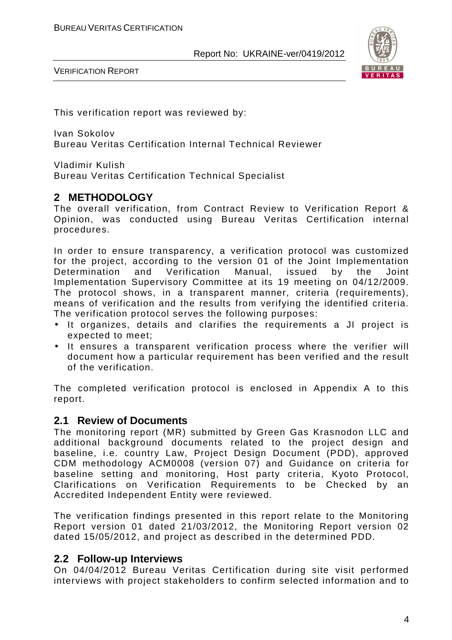

VERIFICATION REPORT

This verification report was reviewed by:

Ivan Sokolov Bureau Veritas Certification Internal Technical Reviewer

Vladimir Kulish

Bureau Veritas Certification Technical Specialist

#### **2 METHODOLOGY**

The overall verification, from Contract Review to Verification Report & Opinion, was conducted using Bureau Veritas Certification internal procedures.

In order to ensure transparency, a verification protocol was customized for the project, according to the version 01 of the Joint Implementation Determination and Verification Manual, issued by the Joint Implementation Supervisory Committee at its 19 meeting on 04/12/2009. The protocol shows, in a transparent manner, criteria (requirements), means of verification and the results from verifying the identified criteria. The verification protocol serves the following purposes:

- It organizes, details and clarifies the requirements a JI project is expected to meet;
- It ensures a transparent verification process where the verifier will document how a particular requirement has been verified and the result of the verification.

The completed verification protocol is enclosed in Appendix A to this report.

#### **2.1 Review of Documents**

The monitoring report (MR) submitted by Green Gas Krasnodon LLC and additional background documents related to the project design and baseline, i.e. country Law, Project Design Document (PDD), approved CDM methodology ACM0008 (version 07) and Guidance on criteria for baseline setting and monitoring, Host party criteria, Kyoto Protocol, Clarifications on Verification Requirements to be Checked by an Accredited Independent Entity were reviewed.

The verification findings presented in this report relate to the Monitoring Report version 01 dated 21/03/2012, the Monitoring Report version 02 dated 15/05/2012, and project as described in the determined PDD.

#### **2.2 Follow-up Interviews**

On 04/04/2012 Bureau Veritas Certification during site visit performed interviews with project stakeholders to confirm selected information and to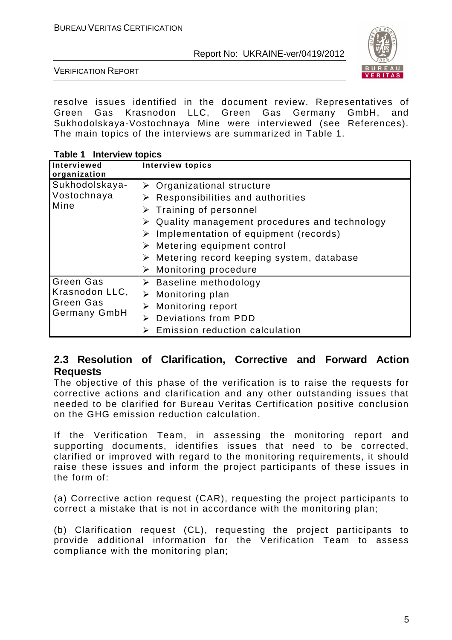

VERIFICATION REPORT

resolve issues identified in the document review. Representatives of Green Gas Krasnodon LLC, Green Gas Germany GmbH, and Sukhodolskaya-Vostochnaya Mine were interviewed (see References). The main topics of the interviews are summarized in Table 1.

**Table 1 Interview topics** 

| Interviewed<br>organization                               | <b>Interview topics</b>                                                                                                                                                                                                                                                     |
|-----------------------------------------------------------|-----------------------------------------------------------------------------------------------------------------------------------------------------------------------------------------------------------------------------------------------------------------------------|
| Sukhodolskaya-<br>Vostochnaya<br>Mine                     | $\triangleright$ Organizational structure<br>Responsibilities and authorities<br>Training of personnel<br>Quality management procedures and technology<br>Implementation of equipment (records)<br>Metering equipment control<br>> Metering record keeping system, database |
| <b>Green Gas</b>                                          | Monitoring procedure<br>➤                                                                                                                                                                                                                                                   |
| Krasnodon LLC,<br><b>Green Gas</b><br><b>Germany GmbH</b> | Baseline methodology<br>➤<br>$\triangleright$ Monitoring plan<br>Monitoring report<br>⋗<br>Deviations from PDD<br>⋗<br>Emission reduction calculation                                                                                                                       |

#### **2.3 Resolution of Clarification, Corrective and Forward Action Requests**

The objective of this phase of the verification is to raise the requests for corrective actions and clarification and any other outstanding issues that needed to be clarified for Bureau Veritas Certification positive conclusion on the GHG emission reduction calculation.

If the Verification Team, in assessing the monitoring report and supporting documents, identifies issues that need to be corrected, clarified or improved with regard to the monitoring requirements, it should raise these issues and inform the project participants of these issues in the form of:

(a) Corrective action request (CAR), requesting the project participants to correct a mistake that is not in accordance with the monitoring plan;

(b) Clarification request (CL), requesting the project participants to provide additional information for the Verification Team to assess compliance with the monitoring plan;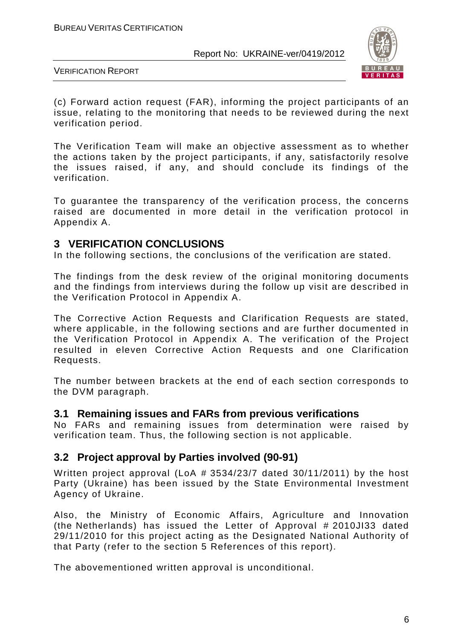

VERIFICATION REPORT

(c) Forward action request (FAR), informing the project participants of an issue, relating to the monitoring that needs to be reviewed during the next verification period.

The Verification Team will make an objective assessment as to whether the actions taken by the project participants, if any, satisfactorily resolve the issues raised, if any, and should conclude its findings of the verification.

To guarantee the transparency of the verification process, the concerns raised are documented in more detail in the verification protocol in Appendix A.

#### **3 VERIFICATION CONCLUSIONS**

In the following sections, the conclusions of the verification are stated.

The findings from the desk review of the original monitoring documents and the findings from interviews during the follow up visit are described in the Verification Protocol in Appendix A.

The Corrective Action Requests and Clarification Requests are stated, where applicable, in the following sections and are further documented in the Verification Protocol in Appendix A. The verification of the Project resulted in eleven Corrective Action Requests and one Clarification Requests.

The number between brackets at the end of each section corresponds to the DVM paragraph.

#### **3.1 Remaining issues and FARs from previous verifications**

No FARs and remaining issues from determination were raised by verification team. Thus, the following section is not applicable.

#### **3.2 Project approval by Parties involved (90-91)**

Written project approval (LoA # 3534/23/7 dated 30/11/2011) by the host Party (Ukraine) has been issued by the State Environmental Investment Agency of Ukraine.

Also, the Ministry of Economic Affairs, Agriculture and Innovation (the Netherlands) has issued the Letter of Approval # 2010JI33 dated 29/11/2010 for this project acting as the Designated National Authority of that Party (refer to the section 5 References of this report).

The abovementioned written approval is unconditional.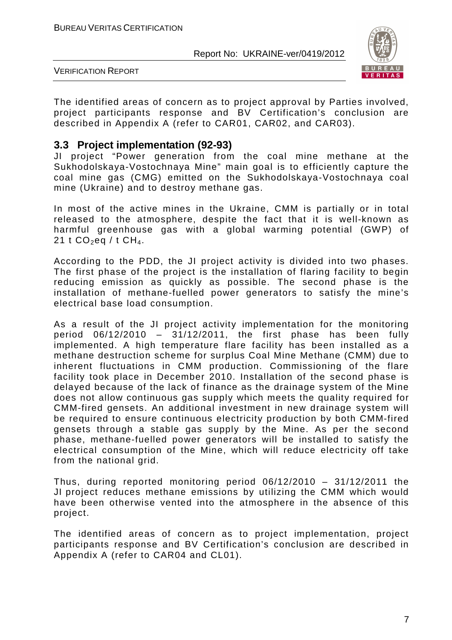

VERIFICATION REPORT

The identified areas of concern as to project approval by Parties involved, project participants response and BV Certification's conclusion are described in Appendix A (refer to CAR01, CAR02, and CAR03).

#### **3.3 Project implementation (92-93)**

JI project "Power generation from the coal mine methane at the Sukhodolskaya-Vostochnaya Mine" main goal is to efficiently capture the coal mine gas (CMG) emitted on the Sukhodolskaya-Vostochnaya coal mine (Ukraine) and to destroy methane gas.

In most of the active mines in the Ukraine, CMM is partially or in total released to the atmosphere, despite the fact that it is well-known as harmful greenhouse gas with a global warming potential (GWP) of 21 t  $CO_2$ eq / t  $CH_4$ .

According to the PDD, the JI project activity is divided into two phases. The first phase of the project is the installation of flaring facility to begin reducing emission as quickly as possible. The second phase is the installation of methane-fuelled power generators to satisfy the mine's electrical base load consumption.

As a result of the JI project activity implementation for the monitoring period  $06/12/2010 - 31/12/2011$ , the first phase has been fully implemented. A high temperature flare facility has been installed as a methane destruction scheme for surplus Coal Mine Methane (CMM) due to inherent fluctuations in CMM production. Commissioning of the flare facility took place in December 2010. Installation of the second phase is delayed because of the lack of finance as the drainage system of the Mine does not allow continuous gas supply which meets the quality required for CMM-fired gensets. An additional investment in new drainage system will be required to ensure continuous electricity production by both CMM-fired gensets through a stable gas supply by the Mine. As per the second phase, methane-fuelled power generators will be installed to satisfy the electrical consumption of the Mine, which will reduce electricity off take from the national grid.

Thus, during reported monitoring period 06/12/2010 – 31/12/2011 the JI project reduces methane emissions by utilizing the CMM which would have been otherwise vented into the atmosphere in the absence of this project.

The identified areas of concern as to project implementation, project participants response and BV Certification's conclusion are described in Appendix A (refer to CAR04 and CL01).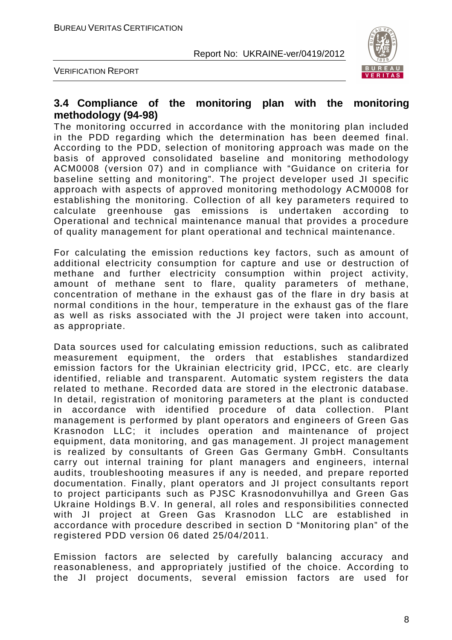

VERIFICATION REPORT

#### **3.4 Compliance of the monitoring plan with the monitoring methodology (94-98)**

The monitoring occurred in accordance with the monitoring plan included in the PDD regarding which the determination has been deemed final. According to the PDD, selection of monitoring approach was made on the basis of approved consolidated baseline and monitoring methodology ACM0008 (version 07) and in compliance with "Guidance on criteria for baseline setting and monitoring". The project developer used JI specific approach with aspects of approved monitoring methodology ACM0008 for establishing the monitoring. Collection of all key parameters required to calculate greenhouse gas emissions is undertaken according to Operational and technical maintenance manual that provides a procedure of quality management for plant operational and technical maintenance.

For calculating the emission reductions key factors, such as amount of additional electricity consumption for capture and use or destruction of methane and further electricity consumption within project activity, amount of methane sent to flare, quality parameters of methane, concentration of methane in the exhaust gas of the flare in dry basis at normal conditions in the hour, temperature in the exhaust gas of the flare as well as risks associated with the JI project were taken into account, as appropriate.

Data sources used for calculating emission reductions, such as calibrated measurement equipment, the orders that establishes standardized emission factors for the Ukrainian electricity grid, IPCC, etc. are clearly identified, reliable and transparent. Automatic system registers the data related to methane. Recorded data are stored in the electronic database. In detail, registration of monitoring parameters at the plant is conducted in accordance with identified procedure of data collection. Plant management is performed by plant operators and engineers of Green Gas Krasnodon LLC; it includes operation and maintenance of project equipment, data monitoring, and gas management. JI project management is realized by consultants of Green Gas Germany GmbH. Consultants carry out internal training for plant managers and engineers, internal audits, troubleshooting measures if any is needed, and prepare reported documentation. Finally, plant operators and JI project consultants report to project participants such as PJSC Krasnodonvuhillya and Green Gas Ukraine Holdings B.V. In general, all roles and responsibilities connected with JI project at Green Gas Krasnodon LLC are established in accordance with procedure described in section D "Monitoring plan" of the registered PDD version 06 dated 25/04/2011.

Emission factors are selected by carefully balancing accuracy and reasonableness, and appropriately justified of the choice. According to the JI project documents, several emission factors are used for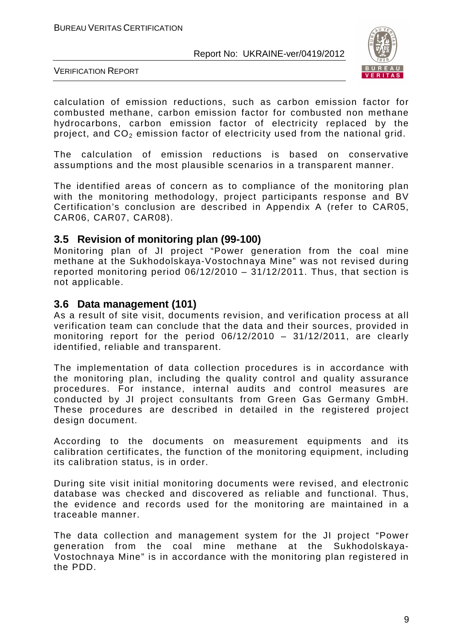

VERIFICATION REPORT

calculation of emission reductions, such as carbon emission factor for combusted methane, carbon emission factor for combusted non methane hydrocarbons, carbon emission factor of electricity replaced by the project, and CO<sub>2</sub> emission factor of electricity used from the national grid.

The calculation of emission reductions is based on conservative assumptions and the most plausible scenarios in a transparent manner.

The identified areas of concern as to compliance of the monitoring plan with the monitoring methodology, project participants response and BV Certification's conclusion are described in Appendix A (refer to CAR05, CAR06, CAR07, CAR08).

#### **3.5 Revision of monitoring plan (99-100)**

Monitoring plan of JI project "Power generation from the coal mine methane at the Sukhodolskaya-Vostochnaya Mine" was not revised during reported monitoring period 06/12/2010 – 31/12/2011. Thus, that section is not applicable.

#### **3.6 Data management (101)**

As a result of site visit, documents revision, and verification process at all verification team can conclude that the data and their sources, provided in monitoring report for the period 06/12/2010 – 31/12/2011, are clearly identified, reliable and transparent.

The implementation of data collection procedures is in accordance with the monitoring plan, including the quality control and quality assurance procedures. For instance, internal audits and control measures are conducted by JI project consultants from Green Gas Germany GmbH. These procedures are described in detailed in the registered project design document.

According to the documents on measurement equipments and its calibration certificates, the function of the monitoring equipment, including its calibration status, is in order.

During site visit initial monitoring documents were revised, and electronic database was checked and discovered as reliable and functional. Thus, the evidence and records used for the monitoring are maintained in a traceable manner.

The data collection and management system for the JI project "Power generation from the coal mine methane at the Sukhodolskaya-Vostochnaya Mine" is in accordance with the monitoring plan registered in the PDD.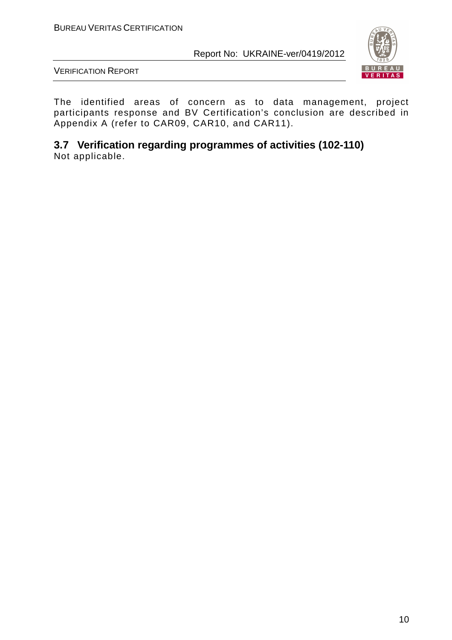

VERIFICATION REPORT

The identified areas of concern as to data management, project participants response and BV Certification's conclusion are described in Appendix A (refer to CAR09, CAR10, and CAR11).

**3.7 Verification regarding programmes of activities (102-110)**  Not applicable.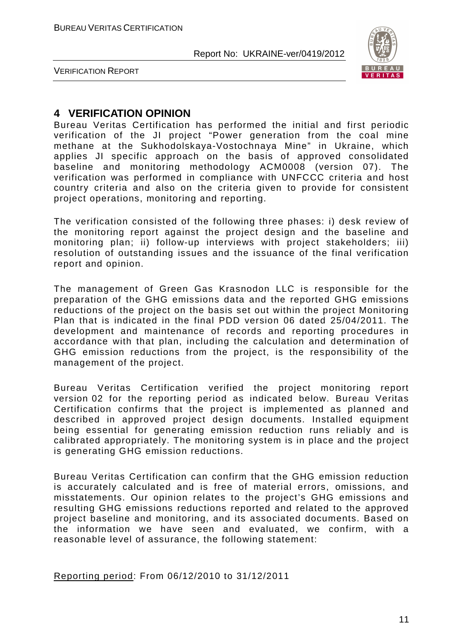

VERIFICATION REPORT

#### **4 VERIFICATION OPINION**

Bureau Veritas Certification has performed the initial and first periodic verification of the JI project "Power generation from the coal mine methane at the Sukhodolskaya-Vostochnaya Mine" in Ukraine, which applies JI specific approach on the basis of approved consolidated baseline and monitoring methodology ACM0008 (version 07). The verification was performed in compliance with UNFCCC criteria and host country criteria and also on the criteria given to provide for consistent project operations, monitoring and reporting.

The verification consisted of the following three phases: i) desk review of the monitoring report against the project design and the baseline and monitoring plan; ii) follow-up interviews with project stakeholders; iii) resolution of outstanding issues and the issuance of the final verification report and opinion.

The management of Green Gas Krasnodon LLC is responsible for the preparation of the GHG emissions data and the reported GHG emissions reductions of the project on the basis set out within the project Monitoring Plan that is indicated in the final PDD version 06 dated 25/04/2011. The development and maintenance of records and reporting procedures in accordance with that plan, including the calculation and determination of GHG emission reductions from the project, is the responsibility of the management of the project.

Bureau Veritas Certification verified the project monitoring report version 02 for the reporting period as indicated below. Bureau Veritas Certification confirms that the project is implemented as planned and described in approved project design documents. Installed equipment being essential for generating emission reduction runs reliably and is calibrated appropriately. The monitoring system is in place and the project is generating GHG emission reductions.

Bureau Veritas Certification can confirm that the GHG emission reduction is accurately calculated and is free of material errors, omissions, and misstatements. Our opinion relates to the project's GHG emissions and resulting GHG emissions reductions reported and related to the approved project baseline and monitoring, and its associated documents. Based on the information we have seen and evaluated, we confirm, with a reasonable level of assurance, the following statement:

Reporting period: From 06/12/2010 to 31/12/2011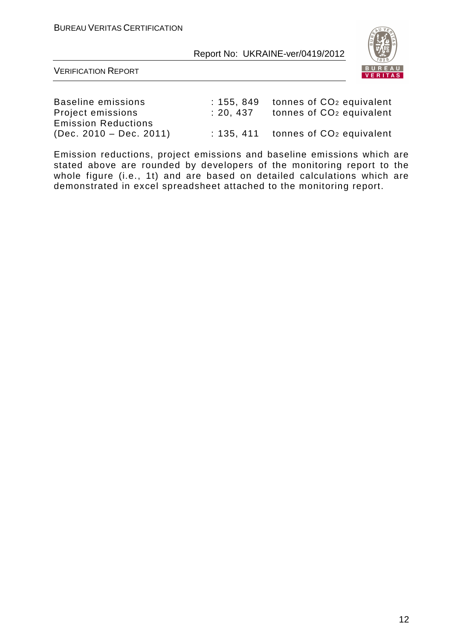

VERIFICATION REPORT

Emission Reductions

Baseline emissions : 155, 849 tonnes of CO<sub>2</sub> equivalent Project emissions : 20, 437 tonnes of CO<sub>2</sub> equivalent (Dec. 2010 – Dec. 2011) : 135, 411 tonnes of  $CO<sub>2</sub>$  equivalent

Emission reductions, project emissions and baseline emissions which are stated above are rounded by developers of the monitoring report to the whole figure (i.e., 1t) and are based on detailed calculations which are demonstrated in excel spreadsheet attached to the monitoring report.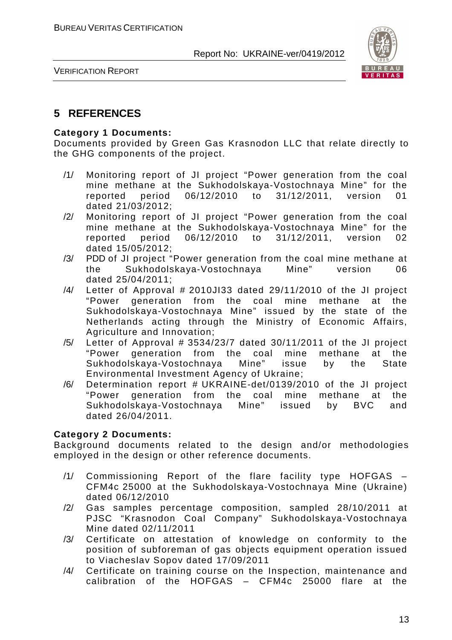

VERIFICATION REPORT

#### **5 REFERENCES**

#### **Category 1 Documents:**

Documents provided by Green Gas Krasnodon LLC that relate directly to the GHG components of the project.

- /1/ Monitoring report of JI project "Power generation from the coal mine methane at the Sukhodolskaya-Vostochnaya Mine" for the reported period 06/12/2010 to 31/12/2011, version 01 dated 21/03/2012;
- /2/ Monitoring report of JI project "Power generation from the coal mine methane at the Sukhodolskaya-Vostochnaya Mine" for the reported period 06/12/2010 to 31/12/2011, version 02 dated 15/05/2012;
- /3/ PDD of JI project "Power generation from the coal mine methane at the Sukhodolskaya-Vostochnaya Mine" version 06 dated 25/04/2011;
- /4/ Letter of Approval # 2010JI33 dated 29/11/2010 of the JI project "Power generation from the coal mine methane at the Sukhodolskaya-Vostochnaya Mine" issued by the state of the Netherlands acting through the Ministry of Economic Affairs, Agriculture and Innovation;
- $/5/$  Letter of Approval # 3534/23/7 dated 30/11/2011 of the JI project "Power generation from the coal mine methane at the Sukhodolskaya-Vostochnaya Mine" issue by the State Environmental Investment Agency of Ukraine;
- /6/ Determination report # UKRAINE-det/0139/2010 of the JI project "Power generation from the coal mine methane at the Sukhodolskaya-Vostochnaya Mine" issued by BVC and dated 26/04/2011.

#### **Category 2 Documents:**

Background documents related to the design and/or methodologies employed in the design or other reference documents.

- /1/ Commissioning Report of the flare facility type HOFGAS CFM4c 25000 at the Sukhodolskaya-Vostochnaya Mine (Ukraine) dated 06/12/2010
- /2/ Gas samples percentage composition, sampled 28/10/2011 at PJSC "Krasnodon Coal Company" Sukhodolskaya-Vostochnaya Mine dated 02/11/2011
- /3/ Certificate on attestation of knowledge on conformity to the position of subforeman of gas objects equipment operation issued to Viacheslav Sopov dated 17/09/2011
- /4/ Certificate on training course on the Inspection, maintenance and calibration of the HOFGAS – CFM4c 25000 flare at the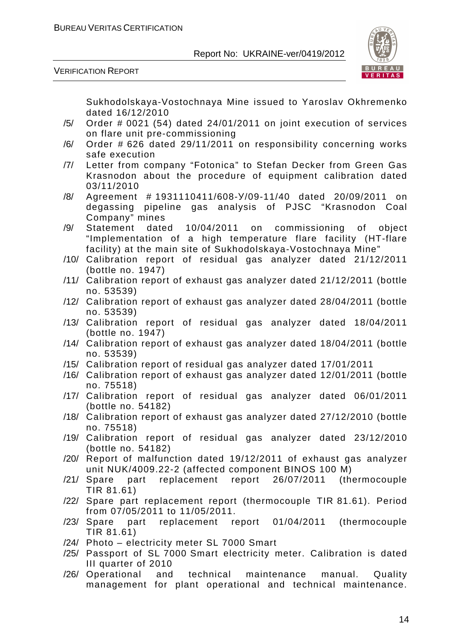

VERIFICATION REPORT

Sukhodolskaya-Vostochnaya Mine issued to Yaroslav Okhremenko dated 16/12/2010

- /5/ Order # 0021 (54) dated 24/01/2011 on joint execution of services on flare unit pre-commissioning
- /6/ Order # 626 dated 29/11/2011 on responsibility concerning works safe execution
- /7/ Letter from company "Fotonica" to Stefan Decker from Green Gas Krasnodon about the procedure of equipment calibration dated 03/11/2010
- /8/ Agreement # 1931110411/608-У/09-11/40 dated 20/09/2011 on degassing pipeline gas analysis of PJSC "Krasnodon Coal Company" mines
- /9/ Statement dated 10/04/2011 on commissioning of object "Implementation of a high temperature flare facility (HT-flare facility) at the main site of Sukhodolskaya-Vostochnaya Mine"
- /10/ Calibration report of residual gas analyzer dated 21/12/2011 (bottle no. 1947)
- /11/ Calibration report of exhaust gas analyzer dated 21/12/2011 (bottle no. 53539)
- /12/ Calibration report of exhaust gas analyzer dated 28/04/2011 (bottle no. 53539)
- /13/ Calibration report of residual gas analyzer dated 18/04/2011 (bottle no. 1947)
- /14/ Calibration report of exhaust gas analyzer dated 18/04/2011 (bottle no. 53539)
- /15/ Calibration report of residual gas analyzer dated 17/01/2011
- /16/ Calibration report of exhaust gas analyzer dated 12/01/2011 (bottle no. 75518)
- /17/ Calibration report of residual gas analyzer dated 06/01/2011 (bottle no. 54182)
- /18/ Calibration report of exhaust gas analyzer dated 27/12/2010 (bottle no. 75518)
- /19/ Calibration report of residual gas analyzer dated 23/12/2010 (bottle no. 54182)
- /20/ Report of malfunction dated 19/12/2011 of exhaust gas analyzer unit NUK/4009.22-2 (affected component BINOS 100 M)
- /21/ Spare part replacement report 26/07/2011 (thermocouple TIR 81.61)
- /22/ Spare part replacement report (thermocouple TIR 81.61). Period from 07/05/2011 to 11/05/2011.
- /23/ Spare part replacement report 01/04/2011 (thermocouple TIR 81.61)
- /24/ Photo electricity meter SL 7000 Smart
- /25/ Passport of SL 7000 Smart electricity meter. Calibration is dated III quarter of 2010
- /26/ Operational and technical maintenance manual. Quality management for plant operational and technical maintenance.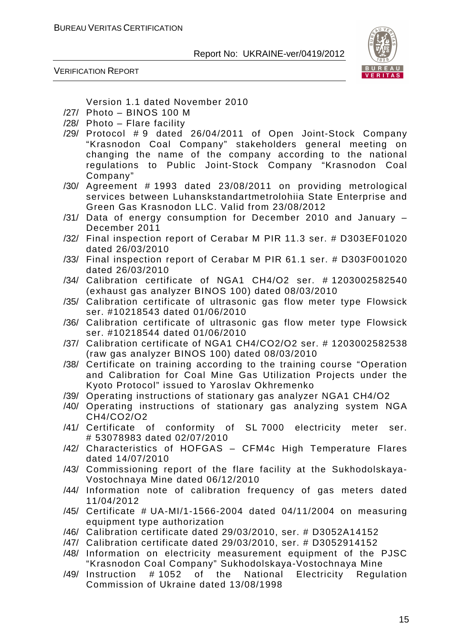

VERIFICATION REPORT

Version 1.1 dated November 2010

- /27/ Photo BINOS 100 M
- /28/ Photo Flare facility
- /29/ Protocol # 9 dated 26/04/2011 of Open Joint-Stock Company "Krasnodon Coal Company" stakeholders general meeting on changing the name of the company according to the national regulations to Public Joint-Stock Company "Krasnodon Coal Company"
- /30/ Agreement # 1993 dated 23/08/2011 on providing metrological services between Luhanskstandartmetrolohiia State Enterprise and Green Gas Krasnodon LLC. Valid from 23/08/2012
- /31/ Data of energy consumption for December 2010 and January December 2011
- /32/ Final inspection report of Cerabar M PIR 11.3 ser. # D303EF01020 dated 26/03/2010
- /33/ Final inspection report of Cerabar M PIR 61.1 ser. # D303F001020 dated 26/03/2010
- /34/ Calibration certificate of NGA1 CH4/O2 ser. # 1203002582540 (exhaust gas analyzer BINOS 100) dated 08/03/2010
- /35/ Calibration certificate of ultrasonic gas flow meter type Flowsick ser. #10218543 dated 01/06/2010
- /36/ Calibration certificate of ultrasonic gas flow meter type Flowsick ser. #10218544 dated 01/06/2010
- /37/ Calibration certificate of NGA1 CH4/CO2/O2 ser. # 1203002582538 (raw gas analyzer BINOS 100) dated 08/03/2010
- /38/ Certificate on training according to the training course "Operation and Calibration for Coal Mine Gas Utilization Projects under the Kyoto Protocol" issued to Yaroslav Okhremenko
- /39/ Operating instructions of stationary gas analyzer NGA1 CH4/O2
- /40/ Operating instructions of stationary gas analyzing system NGA CH4/CO2/O2
- /41/ Certificate of conformity of SL 7000 electricity meter ser. # 53078983 dated 02/07/2010
- /42/ Characteristics of HOFGAS CFM4c High Temperature Flares dated 14/07/2010
- /43/ Commissioning report of the flare facility at the Sukhodolskaya-Vostochnaya Mine dated 06/12/2010
- /44/ Information note of calibration frequency of gas meters dated 11/04/2012
- /45/ Certificate # UA-MI/1-1566-2004 dated 04/11/2004 on measuring equipment type authorization
- /46/ Calibration certificate dated 29/03/2010, ser. # D3052A14152
- /47/ Calibration certificate dated 29/03/2010, ser. # D3052914152
- /48/ Information on electricity measurement equipment of the PJSC "Krasnodon Coal Company" Sukhodolskaya-Vostochnaya Mine
- /49/ Instruction # 1052 of the National Electricity Regulation Commission of Ukraine dated 13/08/1998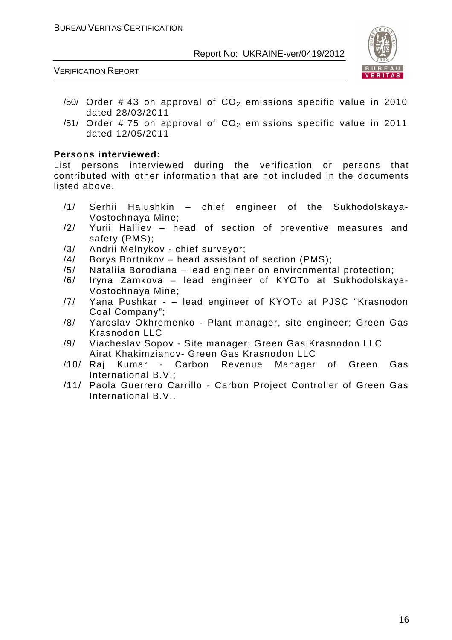



- /50/ Order # 43 on approval of  $CO<sub>2</sub>$  emissions specific value in 2010 dated 28/03/2011
- /51/ Order # 75 on approval of  $CO<sub>2</sub>$  emissions specific value in 2011 dated 12/05/2011

#### **Persons interviewed:**

List persons interviewed during the verification or persons that contributed with other information that are not included in the documents listed above.

- /1/ Serhii Halushkin chief engineer of the Sukhodolskaya-Vostochnaya Mine;
- /2/ Yurii Haliiev head of section of preventive measures and safety (PMS);
- /3/ Andrii Melnykov chief surveyor;
- /4/ Borys Bortnikov head assistant of section (PMS);
- /5/ Nataliia Borodiana lead engineer on environmental protection;
- /6/ Iryna Zamkova lead engineer of KYOTo at Sukhodolskaya-Vostochnaya Mine;
- /7/ Yana Pushkar – lead engineer of KYOTo at PJSC "Krasnodon Coal Company";
- /8/ Yaroslav Okhremenko Plant manager, site engineer; Green Gas Krasnodon LLC
- /9/ Viacheslav Sopov Site manager; Green Gas Krasnodon LLC Airat Khakimzianov- Green Gas Krasnodon LLC
- /10/ Raj Kumar Carbon Revenue Manager of Green Gas International B.V.;
- /11/ Paola Guerrero Carrillo Carbon Project Controller of Green Gas International B.V..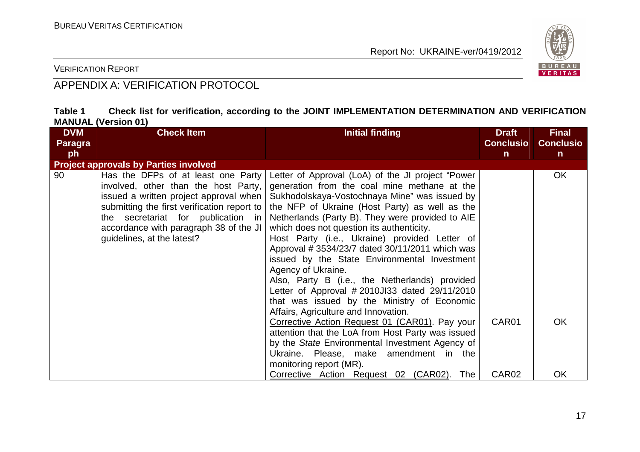

VERIFICATION REPORT

### APPENDIX A: VERIFICATION PROTOCOL

| Table 1                    |  |  | Check list for verification, according to the JOINT IMPLEMENTATION DETERMINATION AND VERIFICATION |  |  |
|----------------------------|--|--|---------------------------------------------------------------------------------------------------|--|--|
| <b>MANUAL (Version 01)</b> |  |  |                                                                                                   |  |  |

| <b>DVM</b>     | <b>Check Item</b>                                                                                                                                                                                                                                                                 | <b>Initial finding</b>                                                                                                                                                                                                                                                                                                                                                                                                                                                                                                                                                                                                                                                                                                                                                                                                                                                        | <b>Draft</b>      | <b>Final</b>     |
|----------------|-----------------------------------------------------------------------------------------------------------------------------------------------------------------------------------------------------------------------------------------------------------------------------------|-------------------------------------------------------------------------------------------------------------------------------------------------------------------------------------------------------------------------------------------------------------------------------------------------------------------------------------------------------------------------------------------------------------------------------------------------------------------------------------------------------------------------------------------------------------------------------------------------------------------------------------------------------------------------------------------------------------------------------------------------------------------------------------------------------------------------------------------------------------------------------|-------------------|------------------|
| <b>Paragra</b> |                                                                                                                                                                                                                                                                                   |                                                                                                                                                                                                                                                                                                                                                                                                                                                                                                                                                                                                                                                                                                                                                                                                                                                                               | <b>Conclusio</b>  | <b>Conclusio</b> |
| ph             |                                                                                                                                                                                                                                                                                   |                                                                                                                                                                                                                                                                                                                                                                                                                                                                                                                                                                                                                                                                                                                                                                                                                                                                               | $\mathsf{n}$      | $\mathsf{n}$     |
|                | <b>Project approvals by Parties involved</b>                                                                                                                                                                                                                                      |                                                                                                                                                                                                                                                                                                                                                                                                                                                                                                                                                                                                                                                                                                                                                                                                                                                                               |                   |                  |
| 90             | Has the DFPs of at least one Party<br>involved, other than the host Party,<br>issued a written project approval when<br>submitting the first verification report to<br>the secretariat for publication in<br>accordance with paragraph 38 of the JI<br>guidelines, at the latest? | Letter of Approval (LoA) of the JI project "Power<br>generation from the coal mine methane at the<br>Sukhodolskaya-Vostochnaya Mine" was issued by<br>the NFP of Ukraine (Host Party) as well as the<br>Netherlands (Party B). They were provided to AIE<br>which does not question its authenticity.<br>Host Party (i.e., Ukraine) provided Letter of<br>Approval # 3534/23/7 dated 30/11/2011 which was<br>issued by the State Environmental Investment<br>Agency of Ukraine.<br>Also, Party B (i.e., the Netherlands) provided<br>Letter of Approval #2010JI33 dated 29/11/2010<br>that was issued by the Ministry of Economic<br>Affairs, Agriculture and Innovation.<br>Corrective Action Request 01 (CAR01). Pay your<br>attention that the LoA from Host Party was issued<br>by the State Environmental Investment Agency of<br>Ukraine. Please, make amendment in the | CAR01             | <b>OK</b><br>OK  |
|                |                                                                                                                                                                                                                                                                                   | monitoring report (MR).<br>Corrective Action Request 02 (CAR02).<br>The                                                                                                                                                                                                                                                                                                                                                                                                                                                                                                                                                                                                                                                                                                                                                                                                       | CAR <sub>02</sub> | OK               |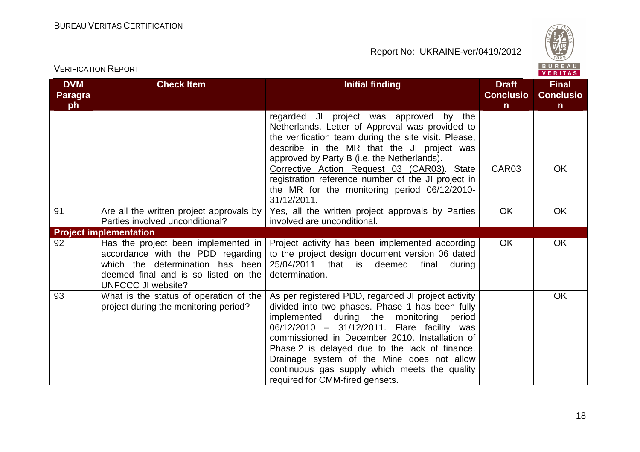

| <b>DVM</b><br>Paragra<br>ph | <b>Check Item</b>                                                                                                                                                                 | <b>Initial finding</b>                                                                                                                                                                                                                                                                                                                                                                                                                  | <b>Draft</b><br><b>Conclusio</b><br>$\mathsf{n}$ | <b>Final</b><br><b>Conclusio</b><br>$\mathsf{n}$ |
|-----------------------------|-----------------------------------------------------------------------------------------------------------------------------------------------------------------------------------|-----------------------------------------------------------------------------------------------------------------------------------------------------------------------------------------------------------------------------------------------------------------------------------------------------------------------------------------------------------------------------------------------------------------------------------------|--------------------------------------------------|--------------------------------------------------|
|                             |                                                                                                                                                                                   | regarded JI project was approved by the<br>Netherlands. Letter of Approval was provided to<br>the verification team during the site visit. Please,<br>describe in the MR that the JI project was<br>approved by Party B (i.e, the Netherlands).<br>Corrective Action Request 03 (CAR03). State<br>registration reference number of the JI project in<br>the MR for the monitoring period 06/12/2010-<br>31/12/2011.                     | CAR03                                            | <b>OK</b>                                        |
| 91                          | Are all the written project approvals by<br>Parties involved unconditional?                                                                                                       | Yes, all the written project approvals by Parties<br>involved are unconditional.                                                                                                                                                                                                                                                                                                                                                        | <b>OK</b>                                        | <b>OK</b>                                        |
|                             | <b>Project implementation</b>                                                                                                                                                     |                                                                                                                                                                                                                                                                                                                                                                                                                                         |                                                  |                                                  |
| 92                          | Has the project been implemented in<br>accordance with the PDD regarding<br>which the determination has been<br>deemed final and is so listed on the<br><b>UNFCCC JI website?</b> | Project activity has been implemented according<br>to the project design document version 06 dated<br>25/04/2011<br>that<br>deemed<br>final<br>is<br>during<br>determination.                                                                                                                                                                                                                                                           | <b>OK</b>                                        | <b>OK</b>                                        |
| 93                          | What is the status of operation of the<br>project during the monitoring period?                                                                                                   | As per registered PDD, regarded JI project activity<br>divided into two phases. Phase 1 has been fully<br>implemented during the monitoring period<br>06/12/2010 - 31/12/2011. Flare facility was<br>commissioned in December 2010. Installation of<br>Phase 2 is delayed due to the lack of finance.<br>Drainage system of the Mine does not allow<br>continuous gas supply which meets the quality<br>required for CMM-fired gensets. |                                                  | <b>OK</b>                                        |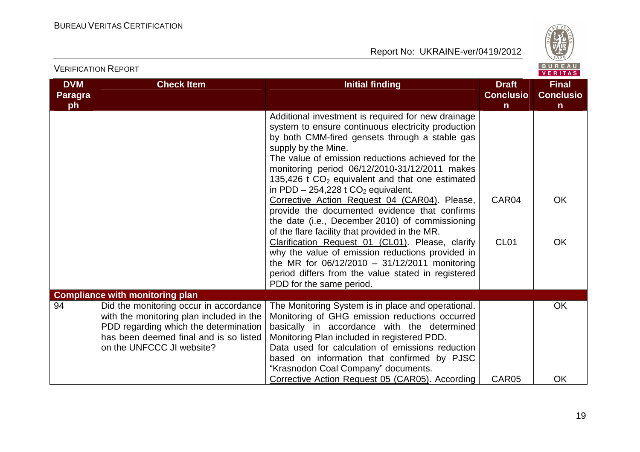

|                             | <b>VERIFICATION REPORT</b>                                                                                                                                                                         |                                                                                                                                                                                                                                                                                                                                                                                                                                                                                                                                                                                                                                                                                                                                                                                                                                                     | BUREAU<br><b>VERITAS</b>              |                                                  |
|-----------------------------|----------------------------------------------------------------------------------------------------------------------------------------------------------------------------------------------------|-----------------------------------------------------------------------------------------------------------------------------------------------------------------------------------------------------------------------------------------------------------------------------------------------------------------------------------------------------------------------------------------------------------------------------------------------------------------------------------------------------------------------------------------------------------------------------------------------------------------------------------------------------------------------------------------------------------------------------------------------------------------------------------------------------------------------------------------------------|---------------------------------------|--------------------------------------------------|
| <b>DVM</b><br>Paragra<br>ph | <b>Check Item</b>                                                                                                                                                                                  | <b>Initial finding</b>                                                                                                                                                                                                                                                                                                                                                                                                                                                                                                                                                                                                                                                                                                                                                                                                                              | <b>Draft</b><br><b>Conclusio</b><br>n | <b>Final</b><br><b>Conclusio</b><br>$\mathsf{n}$ |
|                             |                                                                                                                                                                                                    | Additional investment is required for new drainage<br>system to ensure continuous electricity production<br>by both CMM-fired gensets through a stable gas<br>supply by the Mine.<br>The value of emission reductions achieved for the<br>monitoring period 06/12/2010-31/12/2011 makes<br>135,426 t $CO2$ equivalent and that one estimated<br>in PDD $-254,228$ t CO <sub>2</sub> equivalent.<br>Corrective Action Request 04 (CAR04). Please,<br>provide the documented evidence that confirms<br>the date (i.e., December 2010) of commissioning<br>of the flare facility that provided in the MR.<br>Clarification Request 01 (CL01). Please, clarify<br>why the value of emission reductions provided in<br>the MR for $06/12/2010 - 31/12/2011$ monitoring<br>period differs from the value stated in registered<br>PDD for the same period. | CAR04<br><b>CL01</b>                  | <b>OK</b><br><b>OK</b>                           |
|                             | <b>Compliance with monitoring plan</b>                                                                                                                                                             |                                                                                                                                                                                                                                                                                                                                                                                                                                                                                                                                                                                                                                                                                                                                                                                                                                                     |                                       |                                                  |
| 94                          | Did the monitoring occur in accordance<br>with the monitoring plan included in the<br>PDD regarding which the determination<br>has been deemed final and is so listed<br>on the UNFCCC JI website? | The Monitoring System is in place and operational.<br>Monitoring of GHG emission reductions occurred<br>basically in accordance with the determined<br>Monitoring Plan included in registered PDD.<br>Data used for calculation of emissions reduction<br>based on information that confirmed by PJSC<br>"Krasnodon Coal Company" documents.                                                                                                                                                                                                                                                                                                                                                                                                                                                                                                        |                                       | <b>OK</b>                                        |
|                             |                                                                                                                                                                                                    | Corrective Action Request 05 (CAR05). According                                                                                                                                                                                                                                                                                                                                                                                                                                                                                                                                                                                                                                                                                                                                                                                                     | CAR05                                 | OK                                               |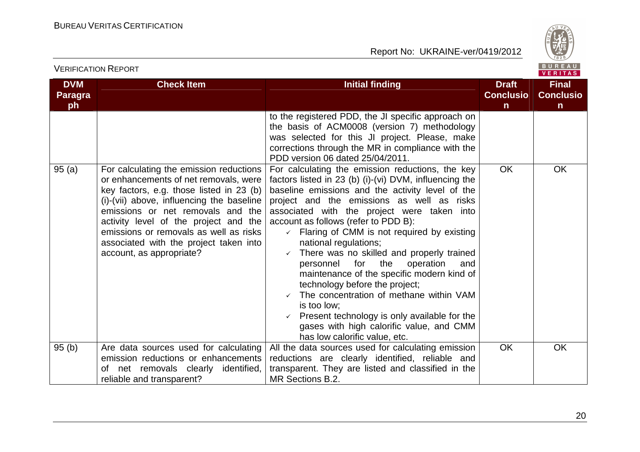VERIFICATION REPORT

Report No: UKRAINE-ver/0419/2012



VERITAS **DVM Check Item Initial finding Check Item Initial finding Check Item Initial finding Initial finding Initial finding Final Paragra Conclusio Conclusioph nn** to the registered PDD, the JI specific approach on the basis of ACM0008 (version 7) methodology was selected for this JI project. Please, make corrections through the MR in compliance with the PDD version 06 dated 25/04/2011. 95 (a) For calculating the emission reductions For calculating the emission reductions, the key OK OK or enhancements of net removals, were factors listed in 23 (b) (i)-(vi) DVM, influencing the key factors, e.g. those listed in 23 (b) baseline emissions and the activity level of the (i)-(vii) above, influencing the baseline project and the emissions as well as risks emissions or net removals and the associated with the project were taken into activity level of the project and the account as follows (refer to PDD B): emissions or removals as well as risks  $\checkmark$  Flaring of CMM is not required by existing associated with the project taken into national regulations; - There was no skilled and properly trained account, as appropriate? personnel for the operation and maintenance of the specific modern kind of technology before the project;  $\checkmark$  The concentration of methane within VAM is too low; Present technology is only available for the gases with high calorific value, and CMM has low calorific value, etc. 95 (b) Are data sources used for calculating OK OK All the data sources used for calculating emission emission reductions or enhancements reductions are clearly identified, reliable and of net removals clearly identified, transparent. They are listed and classified in the reliable and transparent? MR Sections B.2.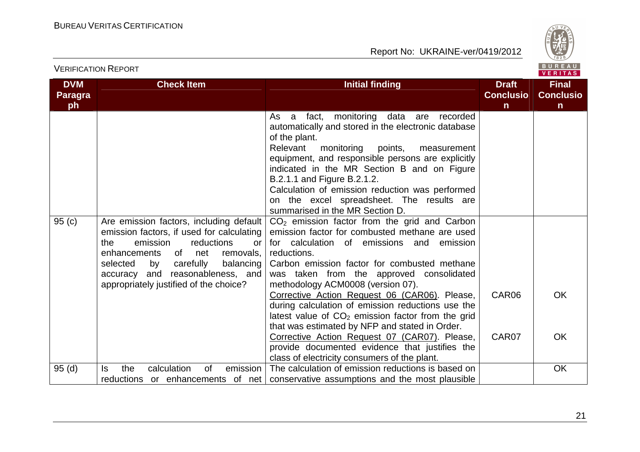

|                             |                                                                                                                                                                                                                                                                                              |                                                                                                                                                                                                                                                                                                                                                                                                                                                    |                                                  | <b>VENIIAS</b>                                   |
|-----------------------------|----------------------------------------------------------------------------------------------------------------------------------------------------------------------------------------------------------------------------------------------------------------------------------------------|----------------------------------------------------------------------------------------------------------------------------------------------------------------------------------------------------------------------------------------------------------------------------------------------------------------------------------------------------------------------------------------------------------------------------------------------------|--------------------------------------------------|--------------------------------------------------|
| <b>DVM</b><br>Paragra<br>ph | <b>Check Item</b>                                                                                                                                                                                                                                                                            | <b>Initial finding</b>                                                                                                                                                                                                                                                                                                                                                                                                                             | <b>Draft</b><br><b>Conclusio</b><br>$\mathsf{n}$ | <b>Final</b><br><b>Conclusio</b><br>$\mathsf{n}$ |
|                             |                                                                                                                                                                                                                                                                                              | monitoring data are<br>As a<br>fact,<br>recorded<br>automatically and stored in the electronic database<br>of the plant.<br>Relevant<br>monitoring<br>points,<br>measurement<br>equipment, and responsible persons are explicitly<br>indicated in the MR Section B and on Figure<br>B.2.1.1 and Figure B.2.1.2.<br>Calculation of emission reduction was performed<br>on the excel spreadsheet. The results are<br>summarised in the MR Section D. |                                                  |                                                  |
| 95(c)                       | Are emission factors, including default<br>emission factors, if used for calculating<br>reductions<br>the<br>emission<br>or<br>enhancements<br>of net<br>removals,<br>selected<br>by<br>carefully<br>balancing<br>accuracy and reasonableness, and<br>appropriately justified of the choice? | $CO2$ emission factor from the grid and Carbon<br>emission factor for combusted methane are used<br>for calculation of emissions and emission<br>reductions.<br>Carbon emission factor for combusted methane<br>was taken from the approved consolidated<br>methodology ACM0008 (version 07).<br>Corrective Action Request 06 (CAR06). Please,<br>during calculation of emission reductions use the                                                | CAR06                                            | <b>OK</b>                                        |
|                             |                                                                                                                                                                                                                                                                                              | latest value of $CO2$ emission factor from the grid<br>that was estimated by NFP and stated in Order.<br>Corrective Action Request 07 (CAR07). Please,<br>provide documented evidence that justifies the<br>class of electricity consumers of the plant.                                                                                                                                                                                           | CAR07                                            | <b>OK</b>                                        |
| 95(d)                       | calculation<br>emission<br>the<br>0f<br>ls.<br>reductions or enhancements of net                                                                                                                                                                                                             | The calculation of emission reductions is based on<br>conservative assumptions and the most plausible                                                                                                                                                                                                                                                                                                                                              |                                                  | <b>OK</b>                                        |

VERIFICATION REPORT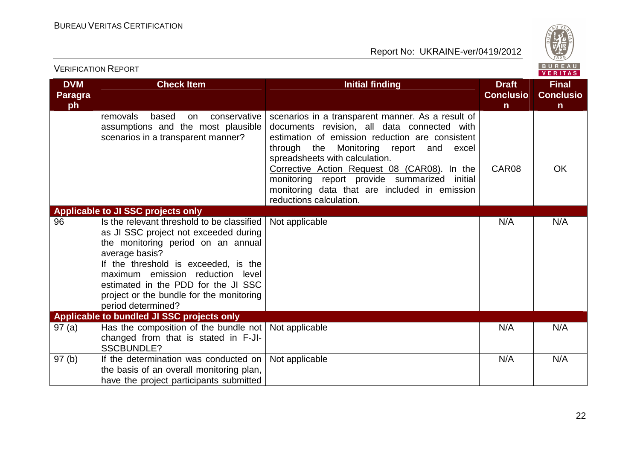

|                                    | BUREAU<br><b>VERIFICATION REPORT</b><br>VERITAS                                                                                                                                                                                                                                                                                  |                                                                                                                                                                                                                                                                                                                                                                                                                    |                                                  |                                                  |
|------------------------------------|----------------------------------------------------------------------------------------------------------------------------------------------------------------------------------------------------------------------------------------------------------------------------------------------------------------------------------|--------------------------------------------------------------------------------------------------------------------------------------------------------------------------------------------------------------------------------------------------------------------------------------------------------------------------------------------------------------------------------------------------------------------|--------------------------------------------------|--------------------------------------------------|
| <b>DVM</b><br><b>Paragra</b><br>ph | <b>Check Item</b>                                                                                                                                                                                                                                                                                                                | <b>Initial finding</b>                                                                                                                                                                                                                                                                                                                                                                                             | <b>Draft</b><br><b>Conclusio</b><br>$\mathsf{n}$ | <b>Final</b><br><b>Conclusio</b><br>$\mathsf{n}$ |
|                                    | removals<br>based<br>conservative<br>on<br>assumptions and the most plausible<br>scenarios in a transparent manner?                                                                                                                                                                                                              | scenarios in a transparent manner. As a result of<br>documents revision, all data connected with<br>estimation of emission reduction are consistent<br>through the Monitoring report and<br>excel<br>spreadsheets with calculation.<br>Corrective Action Request 08 (CAR08). In the<br>monitoring report provide summarized<br>initial<br>monitoring data that are included in emission<br>reductions calculation. | CAR08                                            | <b>OK</b>                                        |
|                                    | Applicable to JI SSC projects only                                                                                                                                                                                                                                                                                               |                                                                                                                                                                                                                                                                                                                                                                                                                    |                                                  |                                                  |
| 96                                 | Is the relevant threshold to be classified<br>as JI SSC project not exceeded during<br>the monitoring period on an annual<br>average basis?<br>If the threshold is exceeded, is the<br>maximum emission reduction level<br>estimated in the PDD for the JI SSC<br>project or the bundle for the monitoring<br>period determined? | Not applicable                                                                                                                                                                                                                                                                                                                                                                                                     | N/A                                              | N/A                                              |
|                                    | Applicable to bundled JI SSC projects only                                                                                                                                                                                                                                                                                       |                                                                                                                                                                                                                                                                                                                                                                                                                    |                                                  |                                                  |
| 97(a)                              | Has the composition of the bundle not<br>changed from that is stated in F-JI-<br><b>SSCBUNDLE?</b>                                                                                                                                                                                                                               | Not applicable                                                                                                                                                                                                                                                                                                                                                                                                     | N/A                                              | N/A                                              |
| 97(b)                              | If the determination was conducted on<br>the basis of an overall monitoring plan,<br>have the project participants submitted                                                                                                                                                                                                     | Not applicable                                                                                                                                                                                                                                                                                                                                                                                                     | N/A                                              | N/A                                              |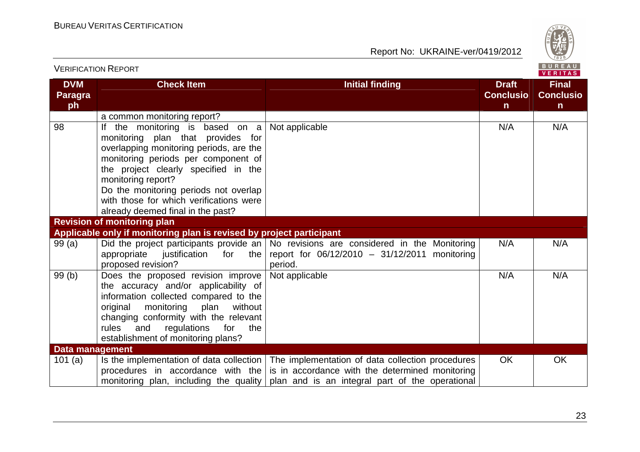

|                                    |                                                                                                                                                                                                                                                                                                                                                                              |                                                                                                                                                                                                                                            |                                  | VERIIAS.                         |
|------------------------------------|------------------------------------------------------------------------------------------------------------------------------------------------------------------------------------------------------------------------------------------------------------------------------------------------------------------------------------------------------------------------------|--------------------------------------------------------------------------------------------------------------------------------------------------------------------------------------------------------------------------------------------|----------------------------------|----------------------------------|
| <b>DVM</b><br><b>Paragra</b><br>ph | <b>Check Item</b>                                                                                                                                                                                                                                                                                                                                                            | <b>Initial finding</b>                                                                                                                                                                                                                     | <b>Draft</b><br><b>Conclusio</b> | <b>Final</b><br><b>Conclusio</b> |
|                                    |                                                                                                                                                                                                                                                                                                                                                                              |                                                                                                                                                                                                                                            | $\mathsf{n}$                     | $\mathsf{n}$                     |
| 98                                 | a common monitoring report?<br>If the monitoring is based on a<br>monitoring plan that provides for<br>overlapping monitoring periods, are the<br>monitoring periods per component of<br>the project clearly specified in the<br>monitoring report?<br>Do the monitoring periods not overlap<br>with those for which verifications were<br>already deemed final in the past? | Not applicable                                                                                                                                                                                                                             | N/A                              | N/A                              |
|                                    | <b>Revision of monitoring plan</b>                                                                                                                                                                                                                                                                                                                                           |                                                                                                                                                                                                                                            |                                  |                                  |
|                                    | Applicable only if monitoring plan is revised by project participant                                                                                                                                                                                                                                                                                                         |                                                                                                                                                                                                                                            |                                  |                                  |
| 99(a)                              | justification for the<br>appropriate<br>proposed revision?                                                                                                                                                                                                                                                                                                                   | Did the project participants provide an   No revisions are considered in the Monitoring<br>report for 06/12/2010 - 31/12/2011 monitoring<br>period.                                                                                        | N/A                              | N/A                              |
| 99(b)                              | Does the proposed revision improve<br>the accuracy and/or applicability of<br>information collected compared to the<br>monitoring<br>plan<br>without<br>original<br>changing conformity with the relevant<br>rules<br>and<br>regulations<br>for<br>the<br>establishment of monitoring plans?                                                                                 | Not applicable                                                                                                                                                                                                                             | N/A                              | N/A                              |
| <b>Data management</b>             |                                                                                                                                                                                                                                                                                                                                                                              |                                                                                                                                                                                                                                            |                                  |                                  |
| 101 $(a)$                          | procedures in accordance with the                                                                                                                                                                                                                                                                                                                                            | Is the implementation of data collection   The implementation of data collection procedures<br>is in accordance with the determined monitoring<br>monitoring plan, including the quality   plan and is an integral part of the operational | <b>OK</b>                        | <b>OK</b>                        |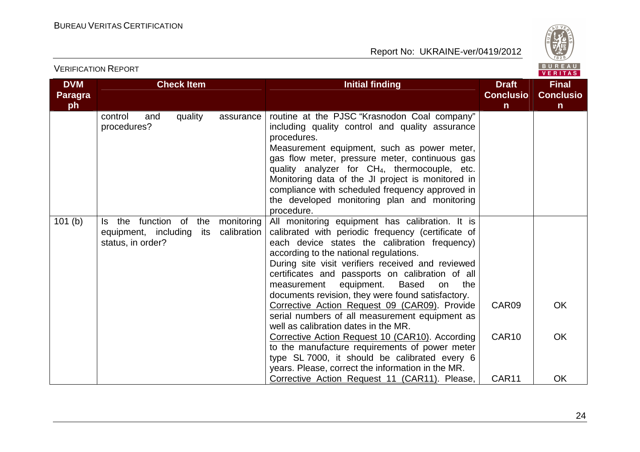

| <b>DVM</b><br><b>Paragra</b><br>ph | <b>Check Item</b>                                                             |                           | <b>Initial finding</b>                                                                                                                                                                                                                                                                                                                                                                                                                                                                                                                                                                                                                                                                                                                                                                                                   | <b>Draft</b><br><b>Conclusio</b><br>$\mathsf{n}$ | <b>Final</b><br><b>Conclusio</b><br>n |
|------------------------------------|-------------------------------------------------------------------------------|---------------------------|--------------------------------------------------------------------------------------------------------------------------------------------------------------------------------------------------------------------------------------------------------------------------------------------------------------------------------------------------------------------------------------------------------------------------------------------------------------------------------------------------------------------------------------------------------------------------------------------------------------------------------------------------------------------------------------------------------------------------------------------------------------------------------------------------------------------------|--------------------------------------------------|---------------------------------------|
|                                    | quality<br>control<br>and<br>procedures?                                      | assurance                 | routine at the PJSC "Krasnodon Coal company"<br>including quality control and quality assurance<br>procedures.<br>Measurement equipment, such as power meter,<br>gas flow meter, pressure meter, continuous gas<br>quality analyzer for CH <sub>4</sub> , thermocouple, etc.<br>Monitoring data of the JI project is monitored in<br>compliance with scheduled frequency approved in<br>the developed monitoring plan and monitoring<br>procedure.                                                                                                                                                                                                                                                                                                                                                                       |                                                  |                                       |
| 101(b)                             | Is the function of<br>the<br>equipment, including<br>its<br>status, in order? | monitoring<br>calibration | All monitoring equipment has calibration. It is<br>calibrated with periodic frequency (certificate of<br>each device states the calibration frequency)<br>according to the national regulations.<br>During site visit verifiers received and reviewed<br>certificates and passports on calibration of all<br>Based<br>measurement<br>equipment.<br>on<br>the<br>documents revision, they were found satisfactory.<br>Corrective Action Request 09 (CAR09). Provide<br>serial numbers of all measurement equipment as<br>well as calibration dates in the MR.<br>Corrective Action Request 10 (CAR10). According<br>to the manufacture requirements of power meter<br>type SL 7000, it should be calibrated every 6<br>years. Please, correct the information in the MR.<br>Corrective Action Request 11 (CAR11). Please, | CAR09<br>CAR <sub>10</sub><br>CAR11              | <b>OK</b><br><b>OK</b><br><b>OK</b>   |

VERIFICATION REPORT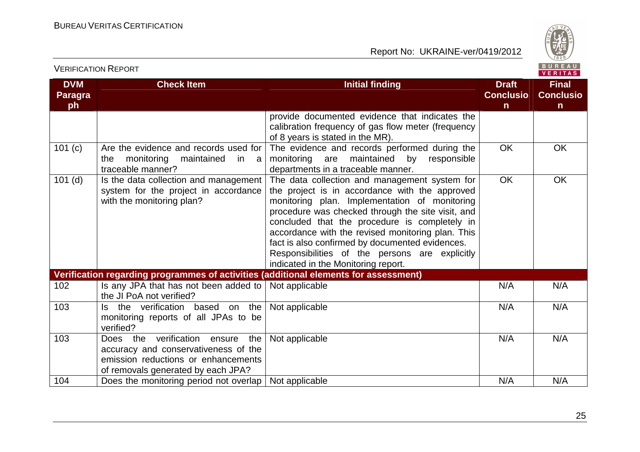

|                                    |                                                                                                                                                          |                                                                                                                                                                                                                                                                                                                                                                                                                                                         |                                                  | .                                                |
|------------------------------------|----------------------------------------------------------------------------------------------------------------------------------------------------------|---------------------------------------------------------------------------------------------------------------------------------------------------------------------------------------------------------------------------------------------------------------------------------------------------------------------------------------------------------------------------------------------------------------------------------------------------------|--------------------------------------------------|--------------------------------------------------|
| <b>DVM</b><br><b>Paragra</b><br>ph | <b>Check Item</b>                                                                                                                                        | <b>Initial finding</b>                                                                                                                                                                                                                                                                                                                                                                                                                                  | <b>Draft</b><br><b>Conclusio</b><br>$\mathsf{n}$ | <b>Final</b><br><b>Conclusio</b><br>$\mathsf{n}$ |
|                                    |                                                                                                                                                          | provide documented evidence that indicates the<br>calibration frequency of gas flow meter (frequency<br>of 8 years is stated in the MR).                                                                                                                                                                                                                                                                                                                |                                                  |                                                  |
| 101 (c)                            | Are the evidence and records used for<br>monitoring<br>maintained<br>the<br>in<br>a<br>traceable manner?                                                 | The evidence and records performed during the<br>monitoring<br>maintained<br>responsible<br>are<br>by<br>departments in a traceable manner.                                                                                                                                                                                                                                                                                                             | <b>OK</b>                                        | <b>OK</b>                                        |
| $101$ (d)                          | Is the data collection and management<br>system for the project in accordance<br>with the monitoring plan?                                               | The data collection and management system for<br>the project is in accordance with the approved<br>monitoring plan. Implementation of monitoring<br>procedure was checked through the site visit, and<br>concluded that the procedure is completely in<br>accordance with the revised monitoring plan. This<br>fact is also confirmed by documented evidences.<br>Responsibilities of the persons are explicitly<br>indicated in the Monitoring report. | OK                                               | OK                                               |
|                                    | Verification regarding programmes of activities (additional elements for assessment)                                                                     |                                                                                                                                                                                                                                                                                                                                                                                                                                                         |                                                  |                                                  |
| 102                                | Is any JPA that has not been added to<br>the JI PoA not verified?                                                                                        | Not applicable                                                                                                                                                                                                                                                                                                                                                                                                                                          | N/A                                              | N/A                                              |
| 103                                | Is the verification based on the<br>monitoring reports of all JPAs to be<br>verified?                                                                    | Not applicable                                                                                                                                                                                                                                                                                                                                                                                                                                          | N/A                                              | N/A                                              |
| 103                                | Does the verification ensure<br>the<br>accuracy and conservativeness of the<br>emission reductions or enhancements<br>of removals generated by each JPA? | Not applicable                                                                                                                                                                                                                                                                                                                                                                                                                                          | N/A                                              | N/A                                              |
| 104                                | Does the monitoring period not overlap $\vert$ Not applicable                                                                                            |                                                                                                                                                                                                                                                                                                                                                                                                                                                         | N/A                                              | N/A                                              |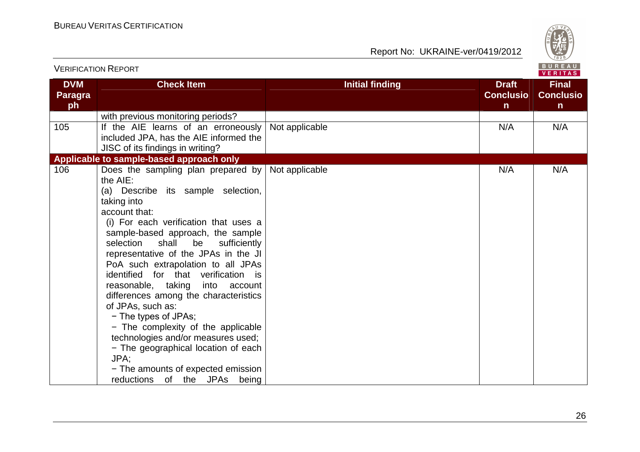

| BUREAU<br><b>VERIFICATION REPORT</b><br><b>VERITAS</b> |                                                                                                                                                                                                                                                                                                                                                                                                                                                                                                                                                                                                                                                                                                  |                        |                                                  |                                                  |  |
|--------------------------------------------------------|--------------------------------------------------------------------------------------------------------------------------------------------------------------------------------------------------------------------------------------------------------------------------------------------------------------------------------------------------------------------------------------------------------------------------------------------------------------------------------------------------------------------------------------------------------------------------------------------------------------------------------------------------------------------------------------------------|------------------------|--------------------------------------------------|--------------------------------------------------|--|
| <b>DVM</b><br><b>Paragra</b><br>ph                     | <b>Check Item</b>                                                                                                                                                                                                                                                                                                                                                                                                                                                                                                                                                                                                                                                                                | <b>Initial finding</b> | <b>Draft</b><br><b>Conclusio</b><br>$\mathsf{n}$ | <b>Final</b><br><b>Conclusio</b><br>$\mathsf{n}$ |  |
|                                                        | with previous monitoring periods?                                                                                                                                                                                                                                                                                                                                                                                                                                                                                                                                                                                                                                                                |                        |                                                  |                                                  |  |
| 105                                                    | If the AIE learns of an erroneously<br>included JPA, has the AIE informed the<br>JISC of its findings in writing?                                                                                                                                                                                                                                                                                                                                                                                                                                                                                                                                                                                | Not applicable         | N/A                                              | N/A                                              |  |
|                                                        | Applicable to sample-based approach only                                                                                                                                                                                                                                                                                                                                                                                                                                                                                                                                                                                                                                                         |                        |                                                  |                                                  |  |
| 106                                                    | Does the sampling plan prepared by<br>the AIE:<br>(a) Describe its sample selection,<br>taking into<br>account that:<br>(i) For each verification that uses a<br>sample-based approach, the sample<br>shall<br>selection<br>be<br>sufficiently<br>representative of the JPAs in the JI<br>PoA such extrapolation to all JPAs<br>identified for that verification is<br>reasonable, taking into account<br>differences among the characteristics<br>of JPAs, such as:<br>- The types of JPAs;<br>- The complexity of the applicable<br>technologies and/or measures used;<br>- The geographical location of each<br>JPA;<br>- The amounts of expected emission<br>reductions of the JPAs<br>being | Not applicable         | N/A                                              | N/A                                              |  |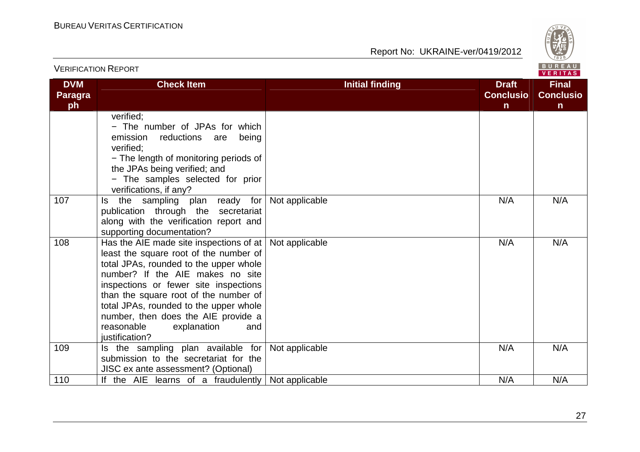

|                                    |                                                                                                                                                                                                                                                                                                                                                                                              |                        | VERITAS                               |                                                  |
|------------------------------------|----------------------------------------------------------------------------------------------------------------------------------------------------------------------------------------------------------------------------------------------------------------------------------------------------------------------------------------------------------------------------------------------|------------------------|---------------------------------------|--------------------------------------------------|
| <b>DVM</b><br><b>Paragra</b><br>ph | <b>Check Item</b>                                                                                                                                                                                                                                                                                                                                                                            | <b>Initial finding</b> | <b>Draft</b><br><b>Conclusio</b><br>n | <b>Final</b><br><b>Conclusio</b><br>$\mathsf{n}$ |
|                                    | verified:<br>- The number of JPAs for which<br>reductions are<br>emission<br>being<br>verified:<br>- The length of monitoring periods of<br>the JPAs being verified; and<br>- The samples selected for prior<br>verifications, if any?                                                                                                                                                       |                        |                                       |                                                  |
| 107                                | the sampling plan ready for<br>Is.<br>publication through the secretariat<br>along with the verification report and<br>supporting documentation?                                                                                                                                                                                                                                             | Not applicable         | N/A                                   | N/A                                              |
| 108                                | Has the AIE made site inspections of at $ $<br>least the square root of the number of<br>total JPAs, rounded to the upper whole<br>number? If the AIE makes no site<br>inspections or fewer site inspections<br>than the square root of the number of<br>total JPAs, rounded to the upper whole<br>number, then does the AIE provide a<br>reasonable<br>explanation<br>and<br>justification? | Not applicable         | N/A                                   | N/A                                              |
| 109                                | Is the sampling plan available for<br>submission to the secretariat for the<br>JISC ex ante assessment? (Optional)                                                                                                                                                                                                                                                                           | Not applicable         | N/A                                   | N/A                                              |
| 110                                | If the AIE learns of a fraudulently Not applicable                                                                                                                                                                                                                                                                                                                                           |                        | N/A                                   | N/A                                              |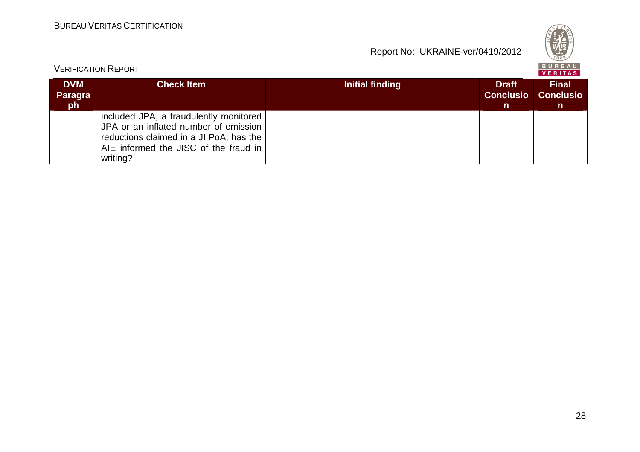| S<br>Q<br>۰.<br>828 |
|---------------------|
|---------------------|

| <b>VERIFICATION REPORT</b>         |                                                                                                                                                                                 |                 |                                                  |                                        |
|------------------------------------|---------------------------------------------------------------------------------------------------------------------------------------------------------------------------------|-----------------|--------------------------------------------------|----------------------------------------|
| <b>DVM</b><br><b>Paragra</b><br>ph | <b>Check Item</b>                                                                                                                                                               | Initial finding | <b>Draft</b><br><b>Conclusio</b><br>$\mathsf{n}$ | <b>Final</b><br><b>Conclusio</b><br>n. |
|                                    | included JPA, a fraudulently monitored<br>JPA or an inflated number of emission<br>reductions claimed in a JI PoA, has the<br>AIE informed the JISC of the fraud in<br>writing? |                 |                                                  |                                        |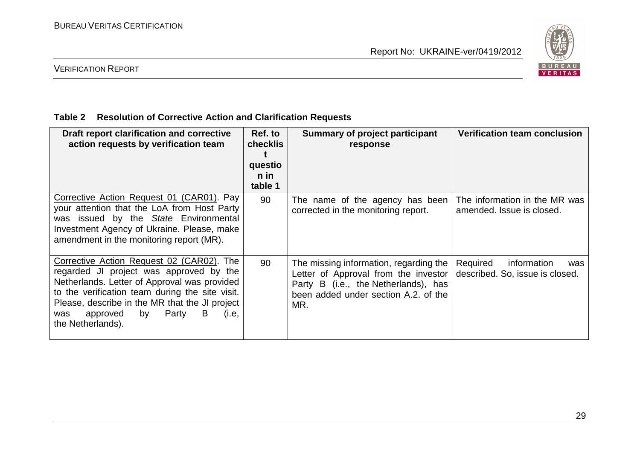

#### VERIFICATION REPORT

#### **Table 2 Resolution of Corrective Action and Clarification Requests**

| Draft report clarification and corrective<br>action requests by verification team                                                                                                                                                                                                                              | Ref. to<br>checklis<br>questio<br>n in<br>table 1 | Summary of project participant<br>response                                                                                                                              | <b>Verification team conclusion</b>                               |
|----------------------------------------------------------------------------------------------------------------------------------------------------------------------------------------------------------------------------------------------------------------------------------------------------------------|---------------------------------------------------|-------------------------------------------------------------------------------------------------------------------------------------------------------------------------|-------------------------------------------------------------------|
| Corrective Action Request 01 (CAR01). Pay<br>your attention that the LoA from Host Party<br>was issued by the State Environmental<br>Investment Agency of Ukraine. Please, make<br>amendment in the monitoring report (MR).                                                                                    | 90                                                | The name of the agency has been<br>corrected in the monitoring report.                                                                                                  | The information in the MR was<br>amended. Issue is closed.        |
| Corrective Action Request 02 (CAR02). The<br>regarded JI project was approved by the<br>Netherlands. Letter of Approval was provided<br>to the verification team during the site visit.<br>Please, describe in the MR that the JI project<br>Party<br>B<br>approved<br>by<br>(i.e,<br>was<br>the Netherlands). | 90                                                | The missing information, regarding the  <br>Letter of Approval from the investor<br>Party B (i.e., the Netherlands), has<br>been added under section A.2, of the<br>MR. | Required<br>information<br>was<br>described. So, issue is closed. |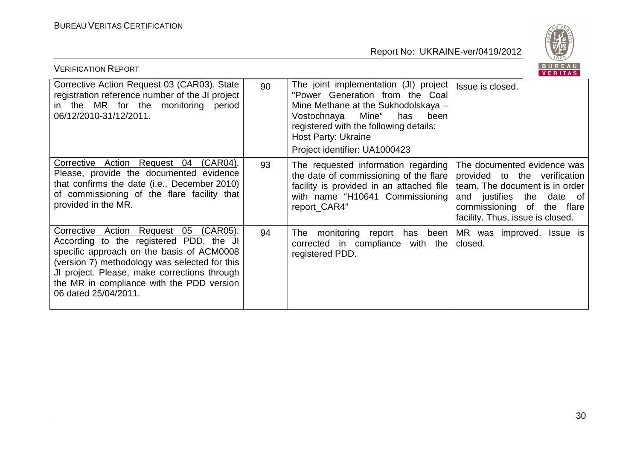

| BUREAU<br><b>VERIFICATION REPORT</b><br>VERITAS                                                                                                                                                                                                                                                     |    |                                                                                                                                                                                                                                                          |                                                                                                                                                                                                       |  |  |
|-----------------------------------------------------------------------------------------------------------------------------------------------------------------------------------------------------------------------------------------------------------------------------------------------------|----|----------------------------------------------------------------------------------------------------------------------------------------------------------------------------------------------------------------------------------------------------------|-------------------------------------------------------------------------------------------------------------------------------------------------------------------------------------------------------|--|--|
| Corrective Action Request 03 (CAR03). State<br>registration reference number of the JI project<br>in the MR for the monitoring period<br>06/12/2010-31/12/2011.                                                                                                                                     | 90 | The joint implementation (JI) project<br>"Power Generation from the Coal<br>Mine Methane at the Sukhodolskaya -<br>Mine"<br>Vostochnaya<br>has<br>been<br>registered with the following details:<br>Host Party: Ukraine<br>Project identifier: UA1000423 | Issue is closed.                                                                                                                                                                                      |  |  |
| Corrective Action Request 04 (CAR04).<br>Please, provide the documented evidence<br>that confirms the date (i.e., December 2010)<br>of commissioning of the flare facility that<br>provided in the MR.                                                                                              | 93 | The requested information regarding<br>the date of commissioning of the flare<br>facility is provided in an attached file<br>with name "H10641 Commissioning<br>report_CAR4"                                                                             | The documented evidence was<br>provided to the verification<br>team. The document is in order<br>and justifies the<br>date<br>of<br>commissioning of<br>the flare<br>facility. Thus, issue is closed. |  |  |
| Corrective Action Request 05 (CAR05).<br>According to the registered PDD, the JI<br>specific approach on the basis of ACM0008<br>(version 7) methodology was selected for this<br>JI project. Please, make corrections through<br>the MR in compliance with the PDD version<br>06 dated 25/04/2011. | 94 | monitoring report has been MR was improved. Issue is<br>The<br>corrected in compliance with the<br>registered PDD.                                                                                                                                       | closed.                                                                                                                                                                                               |  |  |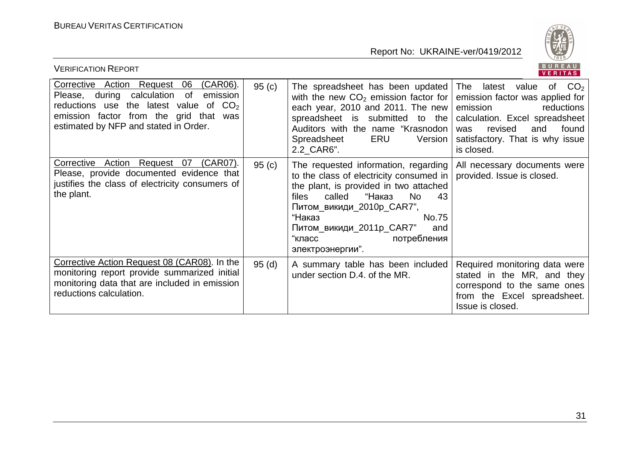

| BUREAU<br><b>VERIFICATION REPORT</b><br><b>VERITAS</b>                                                                                                                                                                        |       |                                                                                                                                                                                                                                                                                                                                                                       |                                                                                                                                                                                            |  |
|-------------------------------------------------------------------------------------------------------------------------------------------------------------------------------------------------------------------------------|-------|-----------------------------------------------------------------------------------------------------------------------------------------------------------------------------------------------------------------------------------------------------------------------------------------------------------------------------------------------------------------------|--------------------------------------------------------------------------------------------------------------------------------------------------------------------------------------------|--|
| Corrective Action Request 06<br>$(CAR06)$ .<br>Please, during calculation<br>of<br>emission<br>the latest value of $CO2$<br>reductions use<br>emission factor from the grid that was<br>estimated by NFP and stated in Order. | 95(c) | The spreadsheet has been updated The latest value<br>with the new $CO2$ emission factor for $ $<br>each year, 2010 and 2011. The new<br>spreadsheet is submitted to the<br>Auditors with the name "Krasnodon  <br>ERU<br>Spreadsheet<br>Version  <br>2.2_CAR6".                                                                                                       | of $CO2$<br>emission factor was applied for<br>emission<br>reductions<br>calculation. Excel spreadsheet<br>revised<br>found<br>and<br>was<br>satisfactory. That is why issue<br>is closed. |  |
| Corrective Action Request 07<br>(CAR07).<br>Please, provide documented evidence that<br>justifies the class of electricity consumers of<br>the plant.                                                                         | 95(c) | The requested information, regarding   All necessary documents were<br>to the class of electricity consumed in   provided. Issue is closed.<br>the plant, is provided in two attached<br>called<br>"Наказ<br><b>No</b><br>files<br>43<br>Питом_викиди_2010p_CAR7",<br>"Наказ<br>No.75<br>Питом_викиди_2011р_CAR7"<br>and<br>"класс<br>потребления<br>электроэнергии". |                                                                                                                                                                                            |  |
| Corrective Action Request 08 (CAR08). In the<br>monitoring report provide summarized initial<br>monitoring data that are included in emission<br>reductions calculation.                                                      | 95(d) | A summary table has been included<br>under section D.4. of the MR.                                                                                                                                                                                                                                                                                                    | Required monitoring data were<br>stated in the MR, and they<br>correspond to the same ones<br>from the Excel spreadsheet.<br>Issue is closed.                                              |  |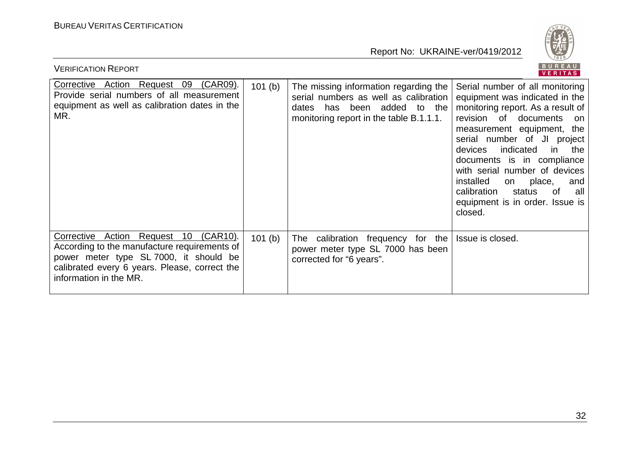

| BUREAU<br><b>VERIFICATION REPORT</b><br>VERITAS                                                                                                                                                            |        |                                                                                                                                                                |                                                                                                                                                                                                                                                                                                                                                                                                                                         |  |  |
|------------------------------------------------------------------------------------------------------------------------------------------------------------------------------------------------------------|--------|----------------------------------------------------------------------------------------------------------------------------------------------------------------|-----------------------------------------------------------------------------------------------------------------------------------------------------------------------------------------------------------------------------------------------------------------------------------------------------------------------------------------------------------------------------------------------------------------------------------------|--|--|
| Corrective Action Request 09 (CAR09).<br>Provide serial numbers of all measurement<br>equipment as well as calibration dates in the<br>MR.                                                                 | 101(b) | The missing information regarding the<br>serial numbers as well as calibration<br>been added to the<br>dates<br>has<br>monitoring report in the table B.1.1.1. | Serial number of all monitoring<br>equipment was indicated in the<br>monitoring report. As a result of<br>revision of documents<br>on.<br>measurement equipment, the<br>serial number of JI project<br>indicated<br>$\mathsf{in}$<br>devices<br>the<br>documents is in compliance<br>with serial number of devices<br>installed<br>on place,<br>and<br>calibration<br>status<br>of<br>all<br>equipment is in order. Issue is<br>closed. |  |  |
| Corrective Action Request 10 (CAR10).<br>According to the manufacture requirements of<br>power meter type SL 7000, it should be<br>calibrated every 6 years. Please, correct the<br>information in the MR. | 101(b) | The calibration frequency for the<br>power meter type SL 7000 has been<br>corrected for "6 years".                                                             | Issue is closed.                                                                                                                                                                                                                                                                                                                                                                                                                        |  |  |